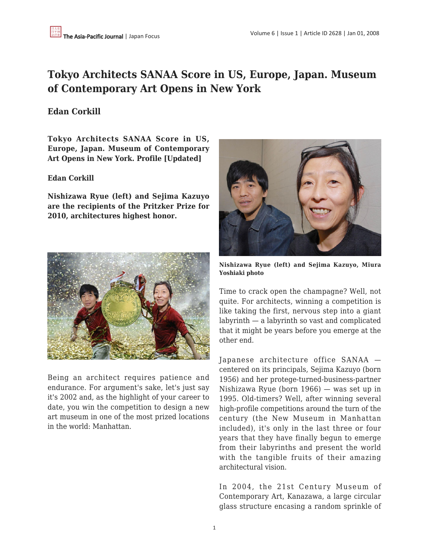# **Tokyo Architects SANAA Score in US, Europe, Japan. Museum of Contemporary Art Opens in New York**

# **Edan Corkill**

**Tokyo Architects SANAA Score in US, Europe, Japan. Museum of Contemporary Art Opens in New York. Profile [Updated]**

### **Edan Corkill**

**Nishizawa Ryue (left) and Sejima Kazuyo are the recipients of the Pritzker Prize for 2010, architectures highest honor.**



Being an architect requires patience and endurance. For argument's sake, let's just say it's 2002 and, as the highlight of your career to date, you win the competition to design a new art museum in one of the most prized locations in the world: Manhattan.



**Nishizawa Ryue (left) and Sejima Kazuyo, Miura Yoshiaki photo**

Time to crack open the champagne? Well, not quite. For architects, winning a competition is like taking the first, nervous step into a giant labyrinth — a labyrinth so vast and complicated that it might be years before you emerge at the other end.

Japanese architecture office SANAA centered on its principals, Sejima Kazuyo (born 1956) and her protege-turned-business-partner Nishizawa Ryue (born 1966) — was set up in 1995. Old-timers? Well, after winning several high-profile competitions around the turn of the century (the New Museum in Manhattan included), it's only in the last three or four years that they have finally begun to emerge from their labyrinths and present the world with the tangible fruits of their amazing architectural vision.

In 2004, the 21st Century Museum of Contemporary Art, Kanazawa, a large circular glass structure encasing a random sprinkle of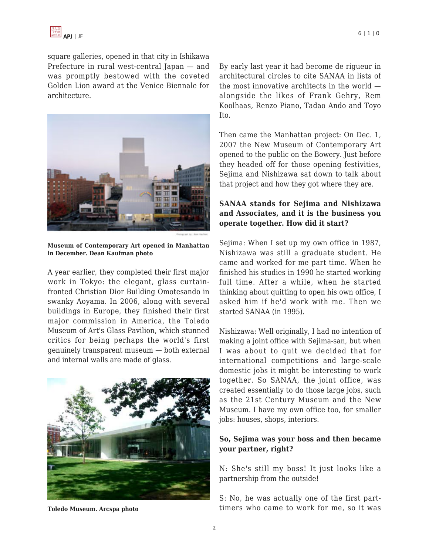

square galleries, opened in that city in Ishikawa Prefecture in rural west-central Japan — and was promptly bestowed with the coveted Golden Lion award at the Venice Biennale for architecture.



**Museum of Contemporary Art opened in Manhattan in December. Dean Kaufman photo**

A year earlier, they completed their first major work in Tokyo: the elegant, glass curtainfronted Christian Dior Building Omotesando in swanky Aoyama. In 2006, along with several buildings in Europe, they finished their first major commission in America, the Toledo Museum of Art's Glass Pavilion, which stunned critics for being perhaps the world's first genuinely transparent museum — both external and internal walls are made of glass.



**Toledo Museum. Arcspa photo**

By early last year it had become de rigueur in architectural circles to cite SANAA in lists of the most innovative architects in the world alongside the likes of Frank Gehry, Rem Koolhaas, Renzo Piano, Tadao Ando and Toyo Ito.

Then came the Manhattan project: On Dec. 1, 2007 the New Museum of Contemporary Art opened to the public on the Bowery. Just before they headed off for those opening festivities, Sejima and Nishizawa sat down to talk about that project and how they got where they are.

### **SANAA stands for Sejima and Nishizawa and Associates, and it is the business you operate together. How did it start?**

Sejima: When I set up my own office in 1987, Nishizawa was still a graduate student. He came and worked for me part time. When he finished his studies in 1990 he started working full time. After a while, when he started thinking about quitting to open his own office, I asked him if he'd work with me. Then we started SANAA (in 1995).

Nishizawa: Well originally, I had no intention of making a joint office with Sejima-san, but when I was about to quit we decided that for international competitions and large-scale domestic jobs it might be interesting to work together. So SANAA, the joint office, was created essentially to do those large jobs, such as the 21st Century Museum and the New Museum. I have my own office too, for smaller jobs: houses, shops, interiors.

### **So, Sejima was your boss and then became your partner, right?**

N: She's still my boss! It just looks like a partnership from the outside!

S: No, he was actually one of the first parttimers who came to work for me, so it was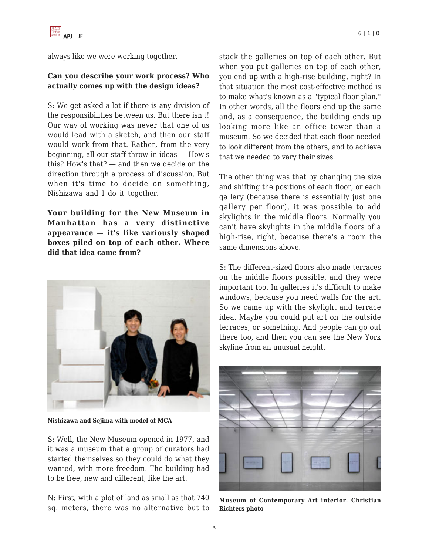always like we were working together.

# **Can you describe your work process? Who actually comes up with the design ideas?**

S: We get asked a lot if there is any division of the responsibilities between us. But there isn't! Our way of working was never that one of us would lead with a sketch, and then our staff would work from that. Rather, from the very beginning, all our staff throw in ideas — How's this? How's that? — and then we decide on the direction through a process of discussion. But when it's time to decide on something, Nishizawa and I do it together.

**Your building for the New Museum in Manhattan has a very distinctive appearance — it's like variously shaped boxes piled on top of each other. Where did that idea came from?**



**Nishizawa and Sejima with model of MCA**

S: Well, the New Museum opened in 1977, and it was a museum that a group of curators had started themselves so they could do what they wanted, with more freedom. The building had to be free, new and different, like the art.

N: First, with a plot of land as small as that 740 sq. meters, there was no alternative but to stack the galleries on top of each other. But when you put galleries on top of each other, you end up with a high-rise building, right? In that situation the most cost-effective method is to make what's known as a "typical floor plan." In other words, all the floors end up the same and, as a consequence, the building ends up looking more like an office tower than a museum. So we decided that each floor needed to look different from the others, and to achieve that we needed to vary their sizes.

The other thing was that by changing the size and shifting the positions of each floor, or each gallery (because there is essentially just one gallery per floor), it was possible to add skylights in the middle floors. Normally you can't have skylights in the middle floors of a high-rise, right, because there's a room the same dimensions above.

S: The different-sized floors also made terraces on the middle floors possible, and they were important too. In galleries it's difficult to make windows, because you need walls for the art. So we came up with the skylight and terrace idea. Maybe you could put art on the outside terraces, or something. And people can go out there too, and then you can see the New York skyline from an unusual height.



**Museum of Contemporary Art interior. Christian Richters photo**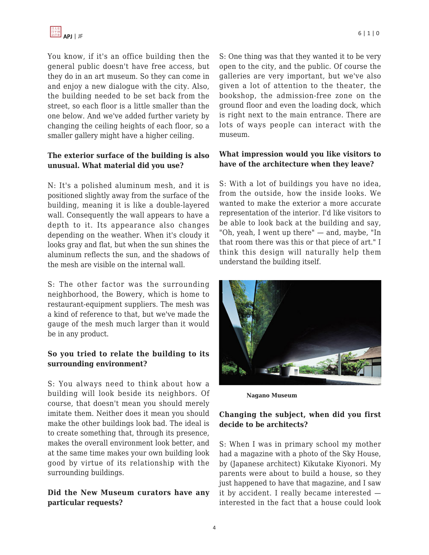You know, if it's an office building then the general public doesn't have free access, but they do in an art museum. So they can come in and enjoy a new dialogue with the city. Also, the building needed to be set back from the street, so each floor is a little smaller than the one below. And we've added further variety by changing the ceiling heights of each floor, so a smaller gallery might have a higher ceiling.

### **The exterior surface of the building is also unusual. What material did you use?**

N: It's a polished aluminum mesh, and it is positioned slightly away from the surface of the building, meaning it is like a double-layered wall. Consequently the wall appears to have a depth to it. Its appearance also changes depending on the weather. When it's cloudy it looks gray and flat, but when the sun shines the aluminum reflects the sun, and the shadows of the mesh are visible on the internal wall.

S: The other factor was the surrounding neighborhood, the Bowery, which is home to restaurant-equipment suppliers. The mesh was a kind of reference to that, but we've made the gauge of the mesh much larger than it would be in any product.

### **So you tried to relate the building to its surrounding environment?**

S: You always need to think about how a building will look beside its neighbors. Of course, that doesn't mean you should merely imitate them. Neither does it mean you should make the other buildings look bad. The ideal is to create something that, through its presence, makes the overall environment look better, and at the same time makes your own building look good by virtue of its relationship with the surrounding buildings.

# **Did the New Museum curators have any particular requests?**

S: One thing was that they wanted it to be very open to the city, and the public. Of course the galleries are very important, but we've also given a lot of attention to the theater, the bookshop, the admission-free zone on the ground floor and even the loading dock, which is right next to the main entrance. There are lots of ways people can interact with the museum.

# **What impression would you like visitors to have of the architecture when they leave?**

S: With a lot of buildings you have no idea, from the outside, how the inside looks. We wanted to make the exterior a more accurate representation of the interior. I'd like visitors to be able to look back at the building and say, "Oh, yeah, I went up there" — and, maybe, "In that room there was this or that piece of art." I think this design will naturally help them understand the building itself.



**Nagano Museum**

# **Changing the subject, when did you first decide to be architects?**

S: When I was in primary school my mother had a magazine with a photo of the Sky House, by (Japanese architect) Kikutake Kiyonori. My parents were about to build a house, so they just happened to have that magazine, and I saw it by accident. I really became interested interested in the fact that a house could look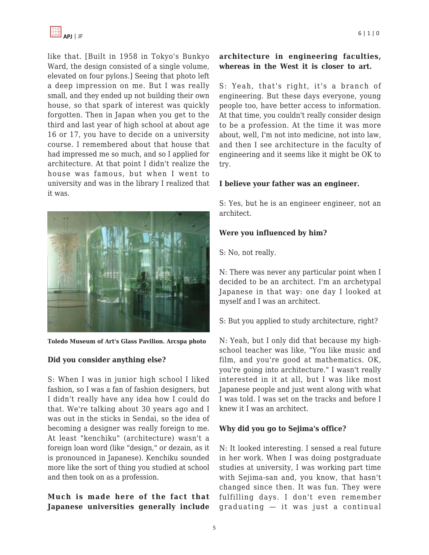

like that. [Built in 1958 in Tokyo's Bunkyo Ward, the design consisted of a single volume, elevated on four pylons.] Seeing that photo left a deep impression on me. But I was really small, and they ended up not building their own house, so that spark of interest was quickly forgotten. Then in Japan when you get to the third and last year of high school at about age 16 or 17, you have to decide on a university course. I remembered about that house that had impressed me so much, and so I applied for architecture. At that point I didn't realize the house was famous, but when I went to university and was in the library I realized that it was.



**Toledo Museum of Art's Glass Pavilion. Arcspa photo**

#### **Did you consider anything else?**

S: When I was in junior high school I liked fashion, so I was a fan of fashion designers, but I didn't really have any idea how I could do that. We're talking about 30 years ago and I was out in the sticks in Sendai, so the idea of becoming a designer was really foreign to me. At least "kenchiku" (architecture) wasn't a foreign loan word (like "design," or dezain, as it is pronounced in Japanese). Kenchiku sounded more like the sort of thing you studied at school and then took on as a profession.

**Much is made here of the fact that Japanese universities generally include**

### **architecture in engineering faculties, whereas in the West it is closer to art.**

S: Yeah, that's right, it's a branch of engineering. But these days everyone, young people too, have better access to information. At that time, you couldn't really consider design to be a profession. At the time it was more about, well, I'm not into medicine, not into law, and then I see architecture in the faculty of engineering and it seems like it might be OK to try.

#### **I believe your father was an engineer.**

S: Yes, but he is an engineer engineer, not an architect.

#### **Were you influenced by him?**

S: No, not really.

N: There was never any particular point when I decided to be an architect. I'm an archetypal Japanese in that way: one day I looked at myself and I was an architect.

S: But you applied to study architecture, right?

N: Yeah, but I only did that because my highschool teacher was like, "You like music and film, and you're good at mathematics. OK, you're going into architecture." I wasn't really interested in it at all, but I was like most Japanese people and just went along with what I was told. I was set on the tracks and before I knew it I was an architect.

#### **Why did you go to Sejima's office?**

N: It looked interesting. I sensed a real future in her work. When I was doing postgraduate studies at university, I was working part time with Sejima-san and, you know, that hasn't changed since then. It was fun. They were fulfilling days. I don't even remember graduating — it was just a continual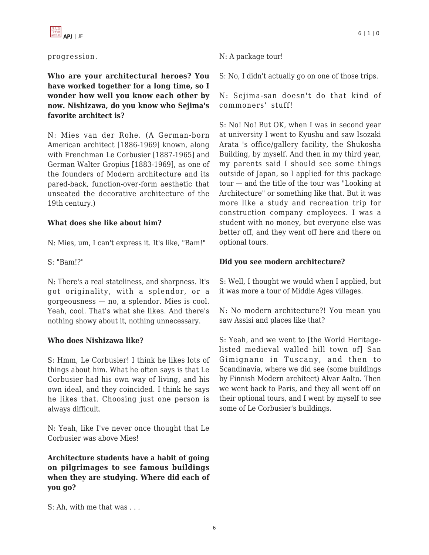### progression.

**Who are your architectural heroes? You have worked together for a long time, so I wonder how well you know each other by now. Nishizawa, do you know who Sejima's favorite architect is?**

N: Mies van der Rohe. (A German-born American architect [1886-1969] known, along with Frenchman Le Corbusier [1887-1965] and German Walter Gropius [1883-1969], as one of the founders of Modern architecture and its pared-back, function-over-form aesthetic that unseated the decorative architecture of the 19th century.)

### **What does she like about him?**

N: Mies, um, I can't express it. It's like, "Bam!"

S: "Bam!?"

N: There's a real stateliness, and sharpness. It's got originality, with a splendor, or a gorgeousness — no, a splendor. Mies is cool. Yeah, cool. That's what she likes. And there's nothing showy about it, nothing unnecessary.

### **Who does Nishizawa like?**

S: Hmm, Le Corbusier! I think he likes lots of things about him. What he often says is that Le Corbusier had his own way of living, and his own ideal, and they coincided. I think he says he likes that. Choosing just one person is always difficult.

N: Yeah, like I've never once thought that Le Corbusier was above Mies!

**Architecture students have a habit of going on pilgrimages to see famous buildings when they are studying. Where did each of you go?**

N: A package tour!

S: No, I didn't actually go on one of those trips.

N: Sejima-san doesn't do that kind of commoners' stuff!

S: No! No! But OK, when I was in second year at university I went to Kyushu and saw Isozaki Arata 's office/gallery facility, the Shukosha Building, by myself. And then in my third year, my parents said I should see some things outside of Japan, so I applied for this package tour — and the title of the tour was "Looking at Architecture" or something like that. But it was more like a study and recreation trip for construction company employees. I was a student with no money, but everyone else was better off, and they went off here and there on optional tours.

# **Did you see modern architecture?**

S: Well, I thought we would when I applied, but it was more a tour of Middle Ages villages.

N: No modern architecture?! You mean you saw Assisi and places like that?

S: Yeah, and we went to [the World Heritagelisted medieval walled hill town of] San Gimignano in Tuscany, and then to Scandinavia, where we did see (some buildings by Finnish Modern architect) Alvar Aalto. Then we went back to Paris, and they all went off on their optional tours, and I went by myself to see some of Le Corbusier's buildings.

S: Ah, with me that was . . .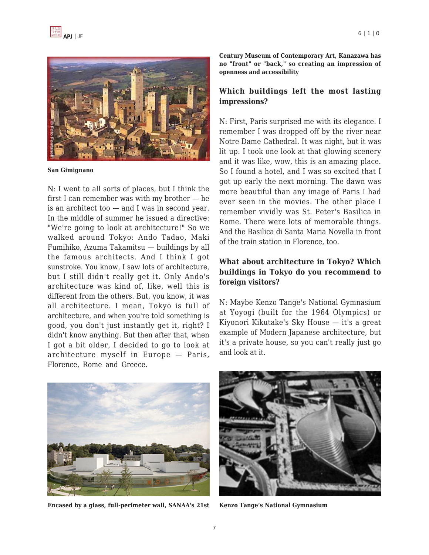

**San Gimignano**

N: I went to all sorts of places, but I think the first I can remember was with my brother — he is an architect too — and I was in second year. In the middle of summer he issued a directive: "We're going to look at architecture!" So we walked around Tokyo: Ando Tadao, Maki Fumihiko, Azuma Takamitsu — buildings by all the famous architects. And I think I got sunstroke. You know, I saw lots of architecture, but I still didn't really get it. Only Ando's architecture was kind of, like, well this is different from the others. But, you know, it was all architecture. I mean, Tokyo is full of architecture, and when you're told something is good, you don't just instantly get it, right? I didn't know anything. But then after that, when I got a bit older, I decided to go to look at architecture myself in Europe — Paris, Florence, Rome and Greece.

**Century Museum of Contemporary Art, Kanazawa has no "front" or "back," so creating an impression of openness and accessibility**

### **Which buildings left the most lasting impressions?**

N: First, Paris surprised me with its elegance. I remember I was dropped off by the river near Notre Dame Cathedral. It was night, but it was lit up. I took one look at that glowing scenery and it was like, wow, this is an amazing place. So I found a hotel, and I was so excited that I got up early the next morning. The dawn was more beautiful than any image of Paris I had ever seen in the movies. The other place I remember vividly was St. Peter's Basilica in Rome. There were lots of memorable things. And the Basilica di Santa Maria Novella in front of the train station in Florence, too.

### **What about architecture in Tokyo? Which buildings in Tokyo do you recommend to foreign visitors?**

N: Maybe Kenzo Tange's National Gymnasium at Yoyogi (built for the 1964 Olympics) or Kiyonori Kikutake's Sky House — it's a great example of Modern Japanese architecture, but it's a private house, so you can't really just go and look at it.



**Encased by a glass, full-perimeter wall, SANAA's 21st**



**Kenzo Tange's National Gymnasium**